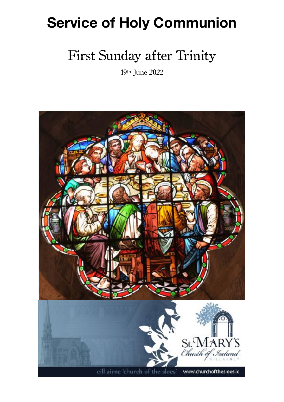# **Service of Holy Communion**

# First Sunday after Trinity

19th June 2022

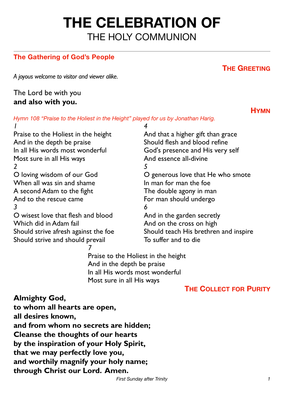# **THE CELEBRATION OF**  THE HOLY COMMUNION

# **The Gathering of God's People**

# **THE GREETING**

**HYMN**

*A joyous welcome to visitor and viewer alike.* 

## The Lord be with you **and also with you.**

| Praise to the Holiest in the height  | And that a higher gift than grace     |
|--------------------------------------|---------------------------------------|
| And in the depth be praise           | Should flesh and blood refine         |
| In all His words most wonderful      | God's presence and His very self      |
| Most sure in all His ways            | And essence all-divine                |
|                                      | 5                                     |
| O loving wisdom of our God           | O generous love that He who smote     |
| When all was sin and shame           | In man for man the foe                |
| A second Adam to the fight           | The double agony in man               |
| And to the rescue came               | For man should undergo                |
|                                      | 6                                     |
| O wisest love that flesh and blood   | And in the garden secretly            |
| Which did in Adam fail               | And on the cross on high              |
| Should strive afresh against the foe | Should teach His brethren and inspire |
| Should strive and should prevail     | To suffer and to die                  |
|                                      |                                       |

*Hymn 108 "Praise to the Holiest in the Height" played for us by Jonathan Harig.*

Praise to the Holiest in the height And in the depth be praise In all His words most wonderful Most sure in all His ways

## **THE COLLECT FOR PURITY**

**Almighty God, to whom all hearts are open, all desires known, and from whom no secrets are hidden; Cleanse the thoughts of our hearts by the inspiration of your Holy Spirit, that we may perfectly love you, and worthily magnify your holy name; through Christ our Lord. Amen.** 

*First Sunday after Trinity 1*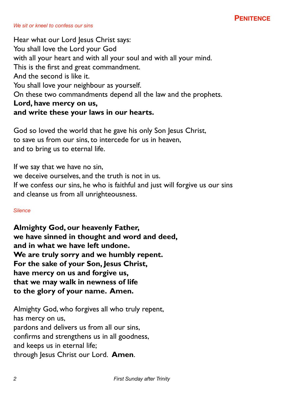### **PENITENCE**

#### *We sit or kneel to confess our sins*

Hear what our Lord Jesus Christ says: You shall love the Lord your God with all your heart and with all your soul and with all your mind. This is the first and great commandment. And the second is like it. You shall love your neighbour as yourself. On these two commandments depend all the law and the prophets. **Lord, have mercy on us, and write these your laws in our hearts.** 

God so loved the world that he gave his only Son Jesus Christ, to save us from our sins, to intercede for us in heaven, and to bring us to eternal life.

If we say that we have no sin, we deceive ourselves, and the truth is not in us. If we confess our sins, he who is faithful and just will forgive us our sins and cleanse us from all unrighteousness.

### *Silence*

**Almighty God, our heavenly Father, we have sinned in thought and word and deed, and in what we have left undone. We are truly sorry and we humbly repent. For the sake of your Son, Jesus Christ, have mercy on us and forgive us, that we may walk in newness of life to the glory of your name. Amen.** 

Almighty God, who forgives all who truly repent, has mercy on us, pardons and delivers us from all our sins, confirms and strengthens us in all goodness, and keeps us in eternal life; through Jesus Christ our Lord. **Amen**.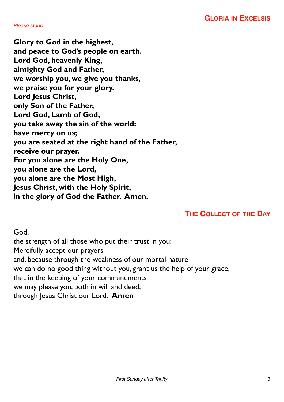*Please stand* 

**Glory to God in the highest, and peace to God's people on earth. Lord God, heavenly King, almighty God and Father, we worship you, we give you thanks, we praise you for your glory. Lord Jesus Christ, only Son of the Father, Lord God, Lamb of God, you take away the sin of the world: have mercy on us; you are seated at the right hand of the Father, receive our prayer. For you alone are the Holy One, you alone are the Lord, you alone are the Most High, Jesus Christ, with the Holy Spirit, in the glory of God the Father. Amen.** 

# **THE COLLECT OF THE DAY**

God, the strength of all those who put their trust in you: Mercifully accept our prayers and, because through the weakness of our mortal nature we can do no good thing without you, grant us the help of your grace, that in the keeping of your commandments we may please you, both in will and deed; through Jesus Christ our Lord. Amen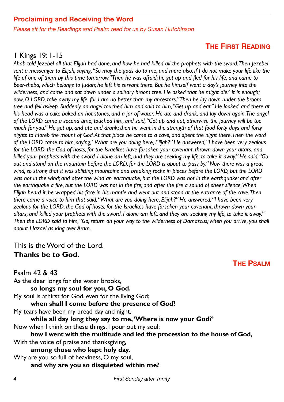### **Proclaiming and Receiving the Word**

*Please sit for the Readings and Psalm read for us by Susan Hutchinson* 

# **THE FIRST READING**

**THE PSALM**

## 1 Kings 19: 1-15

*Ahab told Jezebel all that Elijah had done, and how he had killed all the prophets with the sword. Then Jezebel sent a messenger to Elijah, saying, "So may the gods do to me, and more also, if I do not make your life like the life of one of them by this time tomorrow." Then he was afraid; he got up and fled for his life, and came to Beer-sheba, which belongs to Judah; he left his servant there. But he himself went a day's journey into the wilderness, and came and sat down under a solitary broom tree. He asked that he might die: "It is enough; now, O LORD, take away my life, for I am no better than my ancestors." Then he lay down under the broom tree and fell asleep. Suddenly an angel touched him and said to him, "Get up and eat." He looked, and there at*  his head was a cake baked on hot stones, and a jar of water. He ate and drank, and lay down again. The angel *of the LORD came a second time, touched him, and said, "Get up and eat, otherwise the journey will be too much for you." He got up, and ate and drank; then he went in the strength of that food forty days and forty nights to Horeb the mount of God. At that place he came to a cave, and spent the night there. Then the word of the LORD came to him, saying, "What are you doing here, Elijah?" He answered, "I have been very zealous for the LORD, the God of hosts; for the Israelites have forsaken your covenant, thrown down your altars, and killed your prophets with the sword. I alone am left, and they are seeking my life, to take it away." He said, "Go out and stand on the mountain before the LORD, for the LORD is about to pass by." Now there was a great*  wind, so strong that it was splitting mountains and breaking rocks in pieces before the LORD, but the LORD was not in the wind; and after the wind an earthquake, but the LORD was not in the earthquake; and after *the earthquake a fire, but the LORD was not in the fire; and after the fire a sound of sheer silence. When Elijah heard it, he wrapped his face in his mantle and went out and stood at the entrance of the cave. Then there came a voice to him that said, "What are you doing here, Elijah?" He answered, "I have been very zealous for the LORD, the God of hosts; for the Israelites have forsaken your covenant, thrown down your altars, and killed your prophets with the sword. I alone am left, and they are seeking my life, to take it away." Then the LORD said to him, "Go, return on your way to the wilderness of Damascus; when you arrive, you shall anoint Hazael as king over Aram.* 

## This is the Word of the Lord. **Thanks be to God.**

Psalm 42 & 43 As the deer longs for the water brooks,  **so longs my soul for you, O God.**  My soul is athirst for God, even for the living God;  **when shall I come before the presence of God?**  My tears have been my bread day and night,  **while all day long they say to me, 'Where is now your God?'**  Now when I think on these things, I pour out my soul:  **how I went with the multitude and led the procession to the house of God,**  With the voice of praise and thanksgiving,  **among those who kept holy day.**  Why are you so full of heaviness, O my soul,  **and why are you so disquieted within me?**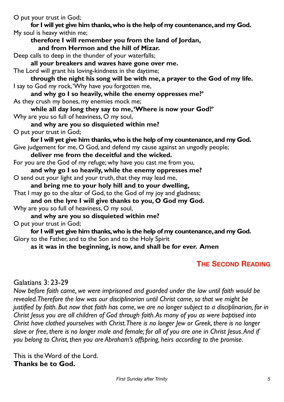O put your trust in God;

 **for I will yet give him thanks, who is the help of my countenance, and my God.**  My soul is heavy within me;

 **therefore I will remember you from the land of Jordan,** 

 **and from Hermon and the hill of Mizar.** 

Deep calls to deep in the thunder of your waterfalls;

 **all your breakers and waves have gone over me.** 

The Lord will grant his loving-kindness in the daytime;

 **through the night his song will be with me, a prayer to the God of my life.**  I say to God my rock, 'Why have you forgotten me,

 **and why go I so heavily, while the enemy oppresses me?'** 

As they crush my bones, my enemies mock me;

 **while all day long they say to me, 'Where is now your God?'**  Why are you so full of heaviness, O my soul,

 **and why are you so disquieted within me?** 

O put your trust in God;

 **for I will yet give him thanks, who is the help of my countenance, and my God.** 

Give judgement for me, O God, and defend my cause against an ungodly people;

 **deliver me from the deceitful and the wicked.** 

For you are the God of my refuge; why have you cast me from you,

 **and why go I so heavily, while the enemy oppresses me?** 

O send out your light and your truth, that they may lead me,

 **and bring me to your holy hill and to your dwelling,** 

That I may go to the altar of God, to the God of my joy and gladness;

 **and on the lyre I will give thanks to you, O God my God.** 

Why are you so full of heaviness, O my soul,

 **and why are you so disquieted within me?** 

O put your trust in God;

 **for I will yet give him thanks, who is the help of my countenance, and my God.**  Glory to the Father, and to the Son and to the Holy Spirit

 **as it was in the beginning, is now, and shall be for ever. Amen** 

# **THE SECOND READING**

# Galatians 3: 23-29

*Now before faith came, we were imprisoned and guarded under the law until faith would be revealed. Therefore the law was our disciplinarian until Christ came, so that we might be*  justified by faith. But now that faith has come, we are no longer subject to a disciplinarian, for in *Christ Jesus you are all children of God through faith. As many of you as were baptised into Christ have clothed yourselves with Christ. There is no longer Jew or Greek, there is no longer slave or free, there is no longer male and female; for all of you are one in Christ Jesus. And if you belong to Christ, then you are Abraham's offspring, heirs according to the promise.* 

This is the Word of the Lord. **Thanks be to God.**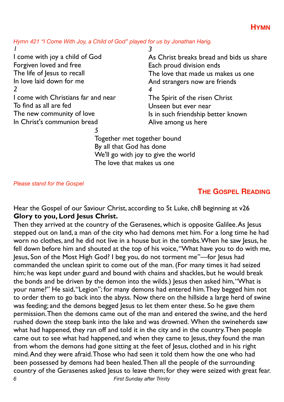*Hymn 421 "I Come With Joy, a Child of God" played for us by Jonathan Harig.*

*1*  I come with joy a child of God Forgiven loved and free The life of Jesus to recall In love laid down for me *2*  I come with Christians far and near To find as all are fed The new community of love In Christ's communion bread

*3* 

As Christ breaks bread and bids us share Each proud division ends The love that made us makes us one And strangers now are friends *4*  The Spirit of the risen Christ Unseen but ever near Is in such friendship better known Alive among us here

*5* 

Together met together bound By all that God has done We'll go with joy to give the world The love that makes us one

*Please stand for the Gospel* 

# **THE GOSPEL READING**

Hear the Gospel of our Saviour Christ, according to St Luke, ch8 beginning at v26 **Glory to you, Lord Jesus Christ.**

Then they arrived at the country of the Gerasenes, which is opposite Galilee. As Jesus stepped out on land, a man of the city who had demons met him. For a long time he had worn no clothes, and he did not live in a house but in the tombs. When he saw Jesus, he fell down before him and shouted at the top of his voice, "What have you to do with me, Jesus, Son of the Most High God? I beg you, do not torment me"—for Jesus had commanded the unclean spirit to come out of the man. (For many times it had seized him; he was kept under guard and bound with chains and shackles, but he would break the bonds and be driven by the demon into the wilds.) Jesus then asked him, "What is your name?" He said, "Legion"; for many demons had entered him. They begged him not to order them to go back into the abyss. Now there on the hillside a large herd of swine was feeding; and the demons begged lesus to let them enter these. So he gave them permission. Then the demons came out of the man and entered the swine, and the herd rushed down the steep bank into the lake and was drowned. When the swineherds saw what had happened, they ran off and told it in the city and in the country. Then people came out to see what had happened, and when they came to Jesus, they found the man from whom the demons had gone sitting at the feet of Jesus, clothed and in his right mind. And they were afraid. Those who had seen it told them how the one who had been possessed by demons had been healed. Then all the people of the surrounding country of the Gerasenes asked Jesus to leave them; for they were seized with great fear. *6 First Sunday after Trinity*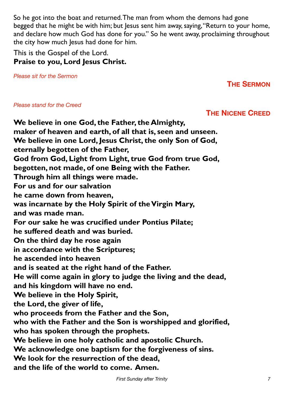So he got into the boat and returned. The man from whom the demons had gone begged that he might be with him; but Jesus sent him away, saying, "Return to your home, and declare how much God has done for you." So he went away, proclaiming throughout the city how much Jesus had done for him.

This is the Gospel of the Lord. **Praise to you, Lord Jesus Christ.** 

*Please sit for the Sermon* 

**THE SERMON** 

### *Please stand for the Creed*

**THE NICENE CREED** 

**We believe in one God, the Father, the Almighty, maker of heaven and earth, of all that is, seen and unseen. We believe in one Lord, Jesus Christ, the only Son of God, eternally begotten of the Father, God from God, Light from Light, true God from true God, begotten, not made, of one Being with the Father. Through him all things were made. For us and for our salvation he came down from heaven, was incarnate by the Holy Spirit of the Virgin Mary, and was made man. For our sake he was crucified under Pontius Pilate; he suffered death and was buried. On the third day he rose again in accordance with the Scriptures; he ascended into heaven and is seated at the right hand of the Father. He will come again in glory to judge the living and the dead, and his kingdom will have no end. We believe in the Holy Spirit, the Lord, the giver of life, who proceeds from the Father and the Son, who with the Father and the Son is worshipped and glorified, who has spoken through the prophets. We believe in one holy catholic and apostolic Church. We acknowledge one baptism for the forgiveness of sins. We look for the resurrection of the dead, and the life of the world to come. Amen.**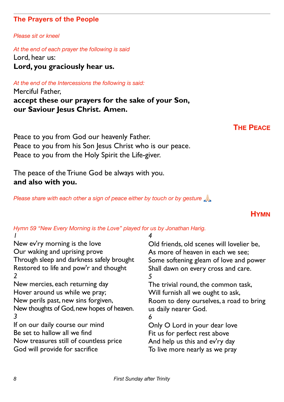### **The Prayers of the People**

*Please sit or kneel* 

*At the end of each prayer the following is said*  Lord, hear us: **Lord, you graciously hear us.** 

*At the end of the Intercessions the following is said:* 

Merciful Father, **accept these our prayers for the sake of your Son, our Saviour Jesus Christ. Amen.** 

### **THE PEACE**

Peace to you from God our heavenly Father. Peace to you from his Son Jesus Christ who is our peace. Peace to you from the Holy Spirit the Life-giver.

The peace of the Triune God be always with you. **and also with you.** 

*Please share with each other a sign of peace either by touch or by gesture* 

### **HYMN**

*Hymn 59 "New Every Morning is the Love" played for us by Jonathan Harig.*

| New ev'ry morning is the love             | Old friends, old scenes will lovelier be, |
|-------------------------------------------|-------------------------------------------|
| Our waking and uprising prove             | As more of heaven in each we see;         |
| Through sleep and darkness safely brought | Some softening gleam of love and power    |
| Restored to life and pow'r and thought    | Shall dawn on every cross and care.       |
|                                           |                                           |
| New mercies, each returning day           | The trivial round, the common task,       |
| Hover around us while we pray;            | Will furnish all we ought to ask,         |
| New perils past, new sins forgiven,       | Room to deny ourselves, a road to bring   |
| New thoughts of God, new hopes of heaven. | us daily nearer God.                      |
|                                           | 6                                         |
| If on our daily course our mind           | Only O Lord in your dear love             |
| Be set to hallow all we find              | Fit us for perfect rest above             |
| Now treasures still of countless price    | And help us this and ev'ry day            |
| God will provide for sacrifice            | To live more nearly as we pray            |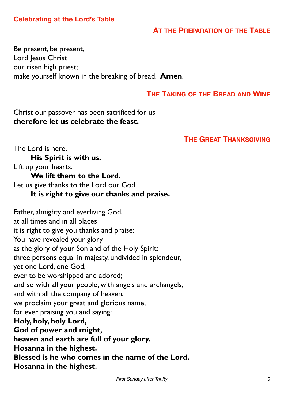### **Celebrating at the Lord's Table**

### **AT THE PREPARATION OF THE TABLE**

Be present, be present, Lord Jesus Christ our risen high priest; make yourself known in the breaking of bread. **Amen**.

### **THE TAKING OF THE BREAD AND WINE**

Christ our passover has been sacrificed for us **therefore let us celebrate the feast.** 

**THE GREAT THANKSGIVING**

The Lord is here.  **His Spirit is with us.**  Lift up your hearts.  **We lift them to the Lord.**  Let us give thanks to the Lord our God.  **It is right to give our thanks and praise.**  Father, almighty and everliving God, at all times and in all places it is right to give you thanks and praise: You have revealed your glory as the glory of your Son and of the Holy Spirit: three persons equal in majesty, undivided in splendour, yet one Lord, one God, ever to be worshipped and adored; and so with all your people, with angels and archangels, and with all the company of heaven, we proclaim your great and glorious name, for ever praising you and saying: **Holy, holy, holy Lord, God of power and might, heaven and earth are full of your glory. Hosanna in the highest. Blessed is he who comes in the name of the Lord. Hosanna in the highest.**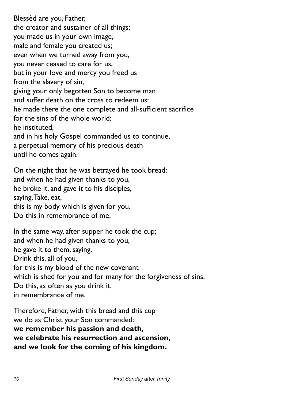Blessèd are you, Father, the creator and sustainer of all things; you made us in your own image, male and female you created us; even when we turned away from you, you never ceased to care for us, but in your love and mercy you freed us from the slavery of sin, giving your only begotten Son to become man and suffer death on the cross to redeem us: he made there the one complete and all-sufficient sacrifice for the sins of the whole world: he instituted, and in his holy Gospel commanded us to continue, a perpetual memory of his precious death until he comes again.

On the night that he was betrayed he took bread; and when he had given thanks to you, he broke it, and gave it to his disciples, saying, Take, eat, this is my body which is given for you. Do this in remembrance of me.

In the same way, after supper he took the cup; and when he had given thanks to you, he gave it to them, saying, Drink this, all of you, for this is my blood of the new covenant which is shed for you and for many for the forgiveness of sins. Do this, as often as you drink it, in remembrance of me.

Therefore, Father, with this bread and this cup we do as Christ your Son commanded: **we remember his passion and death, we celebrate his resurrection and ascension, and we look for the coming of his kingdom.**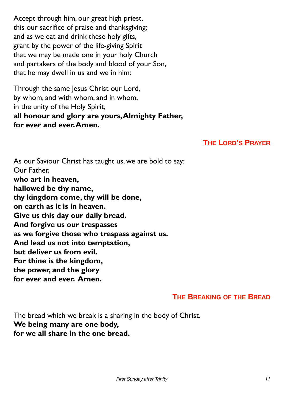Accept through him, our great high priest, this our sacrifice of praise and thanksgiving; and as we eat and drink these holy gifts, grant by the power of the life-giving Spirit that we may be made one in your holy Church and partakers of the body and blood of your Son, that he may dwell in us and we in him:

Through the same Jesus Christ our Lord, by whom, and with whom, and in whom, in the unity of the Holy Spirit, **all honour and glory are yours, Almighty Father, for ever and ever. Amen.** 

**THE LORD'S PRAYER**

As our Saviour Christ has taught us, we are bold to say: Our Father, **who art in heaven, hallowed be thy name, thy kingdom come, thy will be done, on earth as it is in heaven. Give us this day our daily bread. And forgive us our trespasses as we forgive those who trespass against us. And lead us not into temptation, but deliver us from evil. For thine is the kingdom, the power, and the glory for ever and ever. Amen.** 

# **THE BREAKING OF THE BREAD**

The bread which we break is a sharing in the body of Christ. **We being many are one body, for we all share in the one bread.**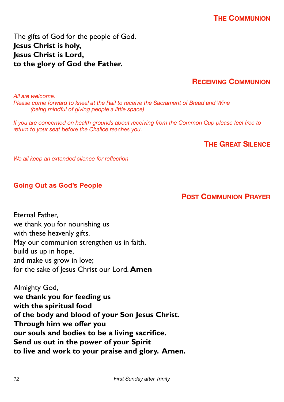**THE COMMUNION** 

The gifts of God for the people of God. **Jesus Christ is holy, Jesus Christ is Lord, to the glory of God the Father.** 

*All are welcome. Please come forward to kneel at the Rail to receive the Sacrament of Bread and Wine (being mindful of giving people a little space)* 

*If you are concerned on health grounds about receiving from the Common Cup please feel free to return to your seat before the Chalice reaches you.* 

**THE GREAT SILENCE** 

**RECEIVING COMMUNION**

*We all keep an extended silence for reflection* 

### **Going Out as God's People**

**POST COMMUNION PRAYER**

Eternal Father, we thank you for nourishing us with these heavenly gifts. May our communion strengthen us in faith, build us up in hope, and make us grow in love; for the sake of Jesus Christ our Lord. **Amen** 

Almighty God, **we thank you for feeding us with the spiritual food of the body and blood of your Son Jesus Christ. Through him we offer you our souls and bodies to be a living sacrifice. Send us out in the power of your Spirit to live and work to your praise and glory. Amen.**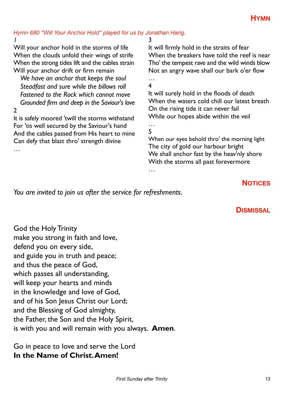### *Hymn 680 "Will Your Anchor Hold" played for us by Jonathan Harig. 1*

Will your anchor hold in the storms of life When the clouds unfold their wings of strife When the strong tides lift and the cables strain Will your anchor drift or firm remain

*We have an anchor that keeps the soul Steadfast and sure while the billows roll Fastened to the Rock which cannot move Grounded firm and deep in the Saviour's love* 

2

It is safely moored 'twill the storms withstand For 'tis well secured by the Saviour's hand And the cables passed from His heart to mine Can defy that blast thro' strength divine …

3

It will firmly hold in the straits of fear When the breakers have told the reef is near Tho' the tempest rave and the wild winds blow Not an angry wave shall our bark o'er flow

… 4

It will surely hold in the floods of death When the waters cold chill our latest breath On the rising tide it can never fail While our hopes abide within the veil

… 5

…

When our eyes behold thro' the morning light The city of gold our harbour bright We shall anchor fast by the heav'nly shore With the storms all past forevermore

**NOTICES**

*You are invited to join us after the service for refreshments.* 

**DISMISSAL** 

God the Holy Trinity make you strong in faith and love, defend you on every side, and guide you in truth and peace; and thus the peace of God, which passes all understanding, will keep your hearts and minds in the knowledge and love of God, and of his Son Jesus Christ our Lord; and the Blessing of God almighty, the Father, the Son and the Holy Spirit, is with you and will remain with you always. **Amen**.

Go in peace to love and serve the Lord **In the Name of Christ. Amen!**